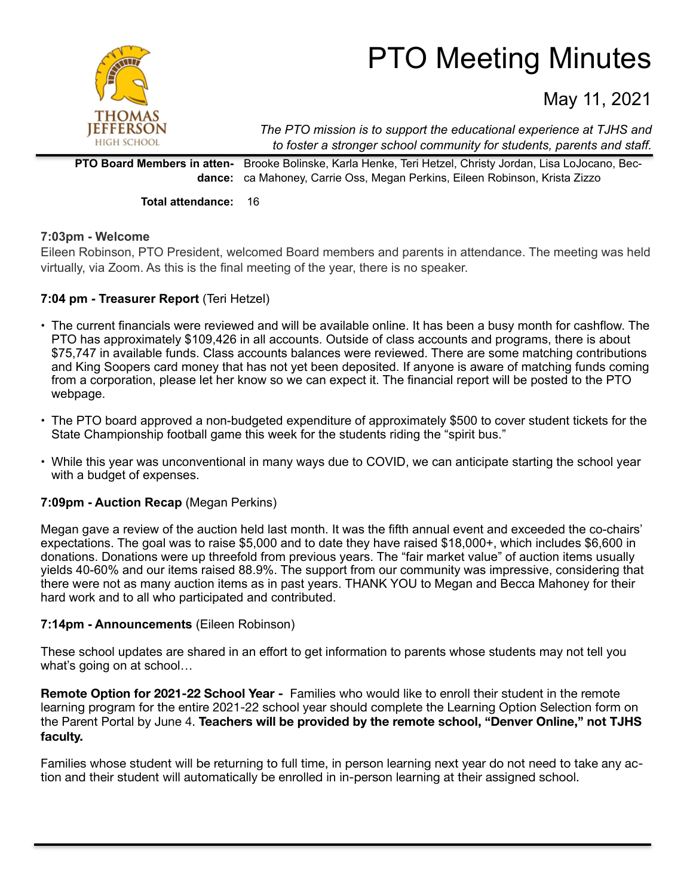

# PTO Meeting Minutes

May 11, 2021

*The PTO mission is to support the educational experience at TJHS and to foster a stronger school community for students, parents and staff.*

**PTO Board Members in attendance:** ca Mahoney, Carrie Oss, Megan Perkins, Eileen Robinson, Krista Zizzo Brooke Bolinske, Karla Henke, Teri Hetzel, Christy Jordan, Lisa LoJocano, Bec-

**Total attendance:** 16

## **7:03pm - Welcome**

Eileen Robinson, PTO President, welcomed Board members and parents in attendance. The meeting was held virtually, via Zoom. As this is the final meeting of the year, there is no speaker.

## **7:04 pm - Treasurer Report** (Teri Hetzel)

- The current financials were reviewed and will be available online. It has been a busy month for cashflow. The PTO has approximately \$109,426 in all accounts. Outside of class accounts and programs, there is about \$75,747 in available funds. Class accounts balances were reviewed. There are some matching contributions and King Soopers card money that has not yet been deposited. If anyone is aware of matching funds coming from a corporation, please let her know so we can expect it. The financial report will be posted to the PTO webpage.
- The PTO board approved a non-budgeted expenditure of approximately \$500 to cover student tickets for the State Championship football game this week for the students riding the "spirit bus."
- While this year was unconventional in many ways due to COVID, we can anticipate starting the school year with a budget of expenses.

## **7:09pm - Auction Recap** (Megan Perkins)

Megan gave a review of the auction held last month. It was the fifth annual event and exceeded the co-chairs' expectations. The goal was to raise \$5,000 and to date they have raised \$18,000+, which includes \$6,600 in donations. Donations were up threefold from previous years. The "fair market value" of auction items usually yields 40-60% and our items raised 88.9%. The support from our community was impressive, considering that there were not as many auction items as in past years. THANK YOU to Megan and Becca Mahoney for their hard work and to all who participated and contributed.

## **7:14pm - Announcements** (Eileen Robinson)

These school updates are shared in an effort to get information to parents whose students may not tell you what's going on at school…

**Remote Option for 2021-22 School Year -** Families who would like to enroll their student in the remote learning program for the entire 2021-22 school year should complete the Learning Option Selection form on the Parent Portal by June 4. **Teachers will be provided by the remote school, "Denver Online," not TJHS faculty.**

Families whose student will be returning to full time, in person learning next year do not need to take any action and their student will automatically be enrolled in in-person learning at their assigned school.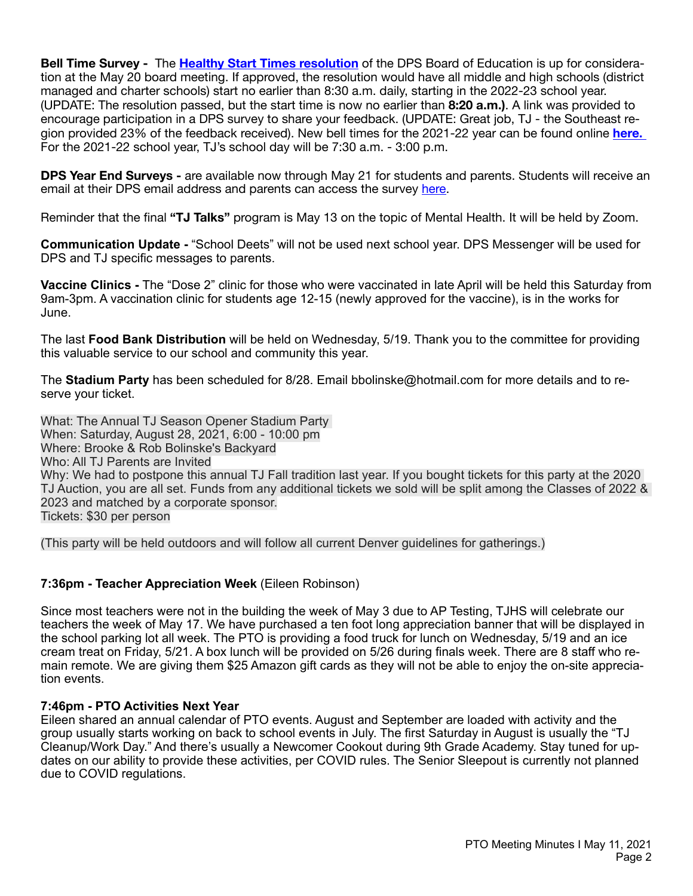**Bell Time Survey -** The **[Healthy Start Times resolution](https://go.boarddocs.com/co/dpsk12/Board.nsf/files/C37RLT6BF4B4/$file/2021-0520%20Healthy%20Start%20Times%20Resolution.pdf)** of the DPS Board of Education is up for consideration at the May 20 board meeting. If approved, the resolution would have all middle and high schools (district managed and charter schools) start no earlier than 8:30 a.m. daily, starting in the 2022-23 school year. (UPDATE: The resolution passed, but the start time is now no earlier than **8:20 a.m.)**. A link was provided to encourage participation in a DPS survey to share your feedback. (UPDATE: Great job, TJ - the Southeast region provided 23% of the feedback received). New bell times for the 2021-22 year can be found online **[here.](https://docs.google.com/spreadsheets/d/1XIf-B2B2zWWMyAyrgNMT2Xgsdgvpb9mO4Qlsea3twd4/edit#gid=0)**  For the 2021-22 school year, TJ's school day will be 7:30 a.m. - 3:00 p.m.

**DPS Year End Surveys -** are available now through May 21 for students and parents. Students will receive an email at their DPS email address and parents can access the survey [here](https://survey.k12insight.com/Survey1.aspx?k=SsUPPTYsRVWsPsPsP&lang=0).

Reminder that the final **"TJ Talks"** program is May 13 on the topic of Mental Health. It will be held by Zoom.

**Communication Update -** "School Deets" will not be used next school year. DPS Messenger will be used for DPS and TJ specific messages to parents.

**Vaccine Clinics -** The "Dose 2" clinic for those who were vaccinated in late April will be held this Saturday from 9am-3pm. A vaccination clinic for students age 12-15 (newly approved for the vaccine), is in the works for June.

The last **Food Bank Distribution** will be held on Wednesday, 5/19. Thank you to the committee for providing this valuable service to our school and community this year.

The **Stadium Party** has been scheduled for 8/28. Email [bbolinske@hotmail.com](mailto:bbolinske@hotmail.com) for more details and to reserve your ticket.

What: The Annual TJ Season Opener Stadium Party When: Saturday, August 28, 2021, 6:00 - 10:00 pm Where: Brooke & Rob Bolinske's Backyard Who: All TJ Parents are Invited Why: We had to postpone this annual TJ Fall tradition last year. If you bought tickets for this party at the 2020 TJ Auction, you are all set. Funds from any additional tickets we sold will be split among the Classes of 2022 & 2023 and matched by a corporate sponsor. Tickets: \$30 per person

(This party will be held outdoors and will follow all current Denver guidelines for gatherings.)

## **7:36pm - Teacher Appreciation Week** (Eileen Robinson)

Since most teachers were not in the building the week of May 3 due to AP Testing, TJHS will celebrate our teachers the week of May 17. We have purchased a ten foot long appreciation banner that will be displayed in the school parking lot all week. The PTO is providing a food truck for lunch on Wednesday, 5/19 and an ice cream treat on Friday, 5/21. A box lunch will be provided on 5/26 during finals week. There are 8 staff who remain remote. We are giving them \$25 Amazon gift cards as they will not be able to enjoy the on-site appreciation events.

## **7:46pm - PTO Activities Next Year**

Eileen shared an annual calendar of PTO events. August and September are loaded with activity and the group usually starts working on back to school events in July. The first Saturday in August is usually the "TJ Cleanup/Work Day." And there's usually a Newcomer Cookout during 9th Grade Academy. Stay tuned for updates on our ability to provide these activities, per COVID rules. The Senior Sleepout is currently not planned due to COVID regulations.